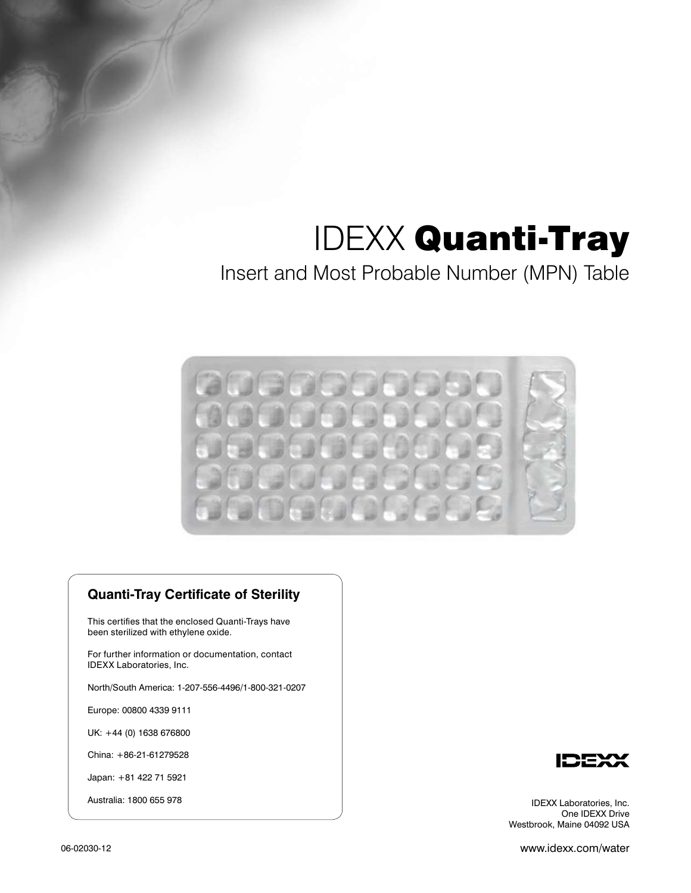### Insert and Most Probable Number (MPN) Table



### **Quanti-Tray Certificate of Sterility**

This certifies that the enclosed Quanti-Trays have been sterilized with ethylene oxide.

For further information or documentation, contact IDEXX Laboratories, Inc.

North/South America: 1-207-556-4496/1-800-321-0207

Europe: 00800 4339 9111

UK: +44 (0) 1638 676800

China: +86-21-61279528

Japan: +81 422 71 5921

Australia: 1800 655 978



IDEXX Laboratories, Inc. One IDEXX Drive Westbrook, Maine 04092 USA

06-02030-12

www.idexx.com/water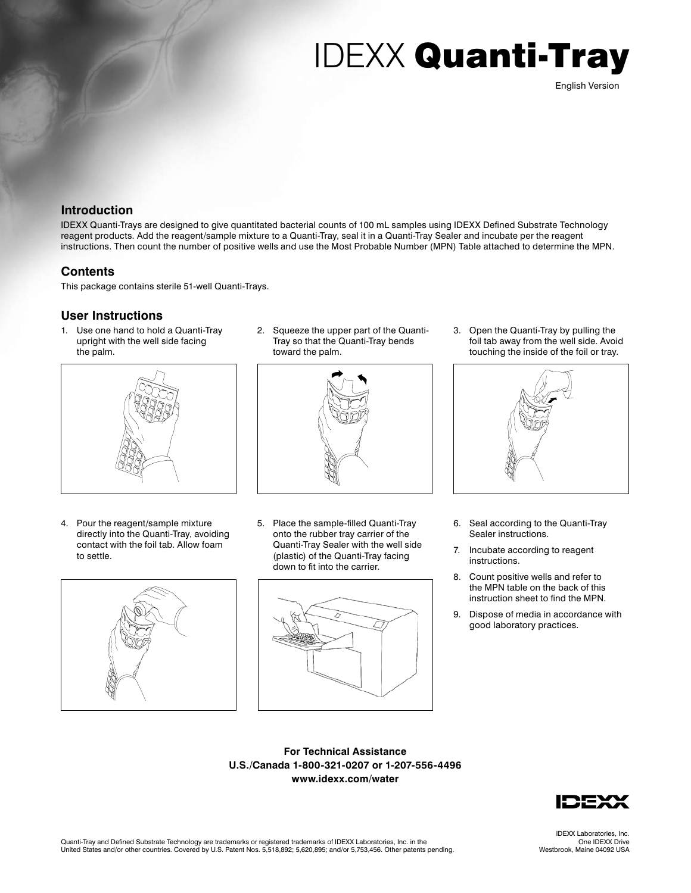### **Introduction**

IDEXX Quanti-Trays are designed to give quantitated bacterial counts of 100 mL samples using IDEXX Defined Substrate Technology reagent products. Add the reagent/sample mixture to a Quanti-Tray, seal it in a Quanti-Tray Sealer and incubate per the reagent instructions. Then count the number of positive wells and use the Most Probable Number (MPN) Table attached to determine the MPN.

### **Contents**

This package contains sterile 51-well Quanti-Trays.

#### **User Instructions**

1. Use one hand to hold a Quanti-Tray upright with the well side facing the palm.



4. Pour the reagent/sample mixture directly into the Quanti-Tray, avoiding contact with the foil tab. Allow foam to settle.



2. Squeeze the upper part of the Quanti-Tray so that the Quanti-Tray bends toward the palm.



5. Place the sample-filled Quanti-Tray onto the rubber tray carrier of the Quanti-Tray Sealer with the well side (plastic) of the Quanti-Tray facing down to fit into the carrier.



3. Open the Quanti-Tray by pulling the foil tab away from the well side. Avoid touching the inside of the foil or tray.



- 6. Seal according to the Quanti-Tray Sealer instructions.
- 7. Incubate according to reagent instructions.
- 8. Count positive wells and refer to the MPN table on the back of this instruction sheet to find the MPN.
- 9. Dispose of media in accordance with good laboratory practices.

**For Technical Assistance U.S./Canada 1-800-321-0207 or 1-207-556-4496 www.idexx.com/water**



IDEXX Laboratories, Inc. One IDEXX Drive Westbrook, Maine 04092 USA

English Version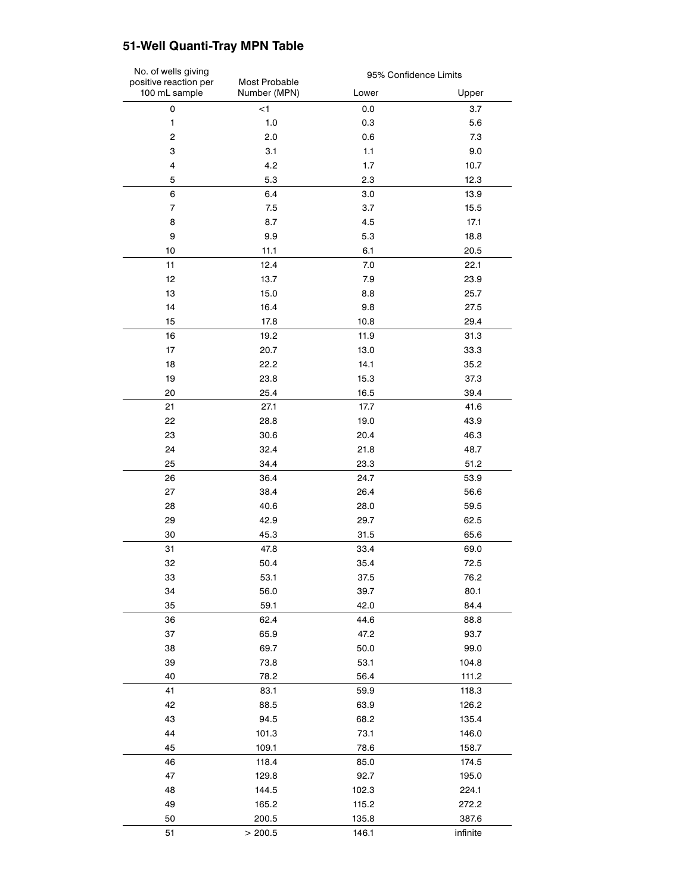### **51-Well Quanti-Tray MPN Table**

| No. of wells giving<br>positive reaction per<br>100 mL sample | Most Probable<br>Number (MPN) | 95% Confidence Limits |          |
|---------------------------------------------------------------|-------------------------------|-----------------------|----------|
|                                                               |                               | Lower                 | Upper    |
| $\mathsf 0$                                                   | < 1                           | 0.0                   | 3.7      |
| $\mathbf{1}$                                                  | 1.0                           | 0.3                   | 5.6      |
| 2                                                             | 2.0                           | 0.6                   | 7.3      |
| 3                                                             | 3.1                           | 1.1                   | 9.0      |
| 4                                                             | 4.2                           | 1.7                   | 10.7     |
| 5                                                             | 5.3                           | 2.3                   | 12.3     |
| 6                                                             | 6.4                           | 3.0                   | 13.9     |
| $\overline{7}$                                                | 7.5                           | 3.7                   | 15.5     |
| 8                                                             | 8.7                           | 4.5                   | 17.1     |
| 9                                                             | 9.9                           | 5.3                   | 18.8     |
| 10                                                            | 11.1                          | 6.1                   | 20.5     |
| 11                                                            | 12.4                          | 7.0                   | 22.1     |
| 12                                                            | 13.7                          | 7.9                   | 23.9     |
| 13                                                            | 15.0                          | 8.8                   | 25.7     |
| 14                                                            | 16.4                          | 9.8                   | 27.5     |
| 15                                                            | 17.8                          | 10.8                  | 29.4     |
| 16                                                            | 19.2                          | 11.9                  | 31.3     |
| 17                                                            | 20.7                          | 13.0                  | 33.3     |
| 18                                                            | 22.2                          | 14.1                  | 35.2     |
| 19                                                            | 23.8                          | 15.3                  | 37.3     |
| 20                                                            | 25.4                          | 16.5                  | 39.4     |
| 21                                                            | 27.1                          | 17.7                  | 41.6     |
| 22                                                            | 28.8                          | 19.0                  |          |
|                                                               |                               |                       | 43.9     |
| 23                                                            | 30.6                          | 20.4                  | 46.3     |
| 24                                                            | 32.4                          | 21.8                  | 48.7     |
| 25                                                            | 34.4                          | 23.3                  | 51.2     |
| 26                                                            | 36.4                          | 24.7                  | 53.9     |
| 27                                                            | 38.4                          | 26.4                  | 56.6     |
| 28                                                            | 40.6                          | 28.0                  | 59.5     |
| 29                                                            | 42.9                          | 29.7                  | 62.5     |
| 30                                                            | 45.3                          | 31.5                  | 65.6     |
| 31                                                            | 47.8                          | 33.4                  | 69.0     |
| 32                                                            | 50.4                          | 35.4                  | 72.5     |
| 33                                                            | 53.1                          | 37.5                  | 76.2     |
| 34                                                            | 56.0                          | 39.7                  | 80.1     |
| 35                                                            | 59.1                          | 42.0                  | 84.4     |
| 36                                                            | 62.4                          | 44.6                  | 88.8     |
| 37                                                            | 65.9                          | 47.2                  | 93.7     |
| 38                                                            | 69.7                          | 50.0                  | 99.0     |
| 39                                                            | 73.8                          | 53.1                  | 104.8    |
| 40                                                            | 78.2                          | 56.4                  | 111.2    |
| 41                                                            | 83.1                          | 59.9                  | 118.3    |
| 42                                                            | 88.5                          | 63.9                  | 126.2    |
| 43                                                            | 94.5                          | 68.2                  | 135.4    |
| 44                                                            | 101.3                         | 73.1                  | 146.0    |
| 45                                                            | 109.1                         | 78.6                  | 158.7    |
| 46                                                            | 118.4                         | 85.0                  | 174.5    |
| 47                                                            | 129.8                         | 92.7                  | 195.0    |
| 48                                                            | 144.5                         | 102.3                 | 224.1    |
| 49                                                            | 165.2                         | 115.2                 | 272.2    |
| 50                                                            | 200.5                         | 135.8                 | 387.6    |
| 51                                                            | > 200.5                       | 146.1                 | infinite |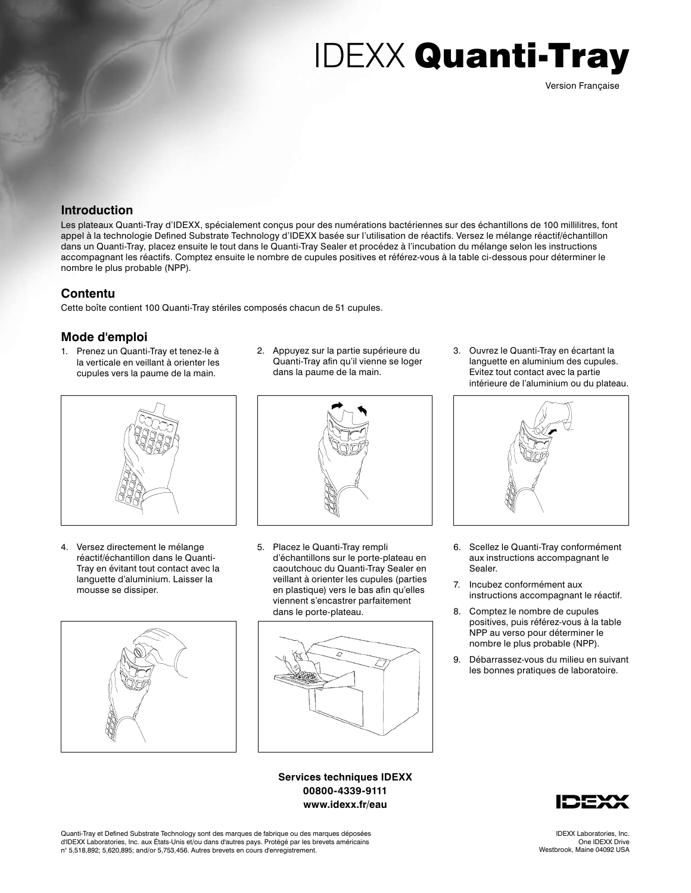### **Introduction**

Les plateaux Quanti-Tray d'IDEXX, spécialement conçus pour des numérations bactériennes sur des échantillons de 100 millilitres, font appel à la technologie Defined Substrate Technology d'IDEXX basée sur l'utilisation de réactifs. Versez le mélange réactif/échantillon dans un Quanti-Tray, placez ensuite le tout dans le Quanti-Tray Sealer et procédez à l'incubation du mélange selon les instructions accompagnant les réactifs. Comptez ensuite le nombre de cupules positives et référez-vous à la table ci-dessous pour déterminer le nombre le plus probable (NPP).

### **Contentu**

Cette boîte contient 100 Quanti-Tray stériles composés chacun de 51 cupules.

### **Mode d'emploi**

1. Prenez un Quanti-Tray et tenez-le à la verticale en veillant à orienter les cupules vers la paume de la main.



4. Versez directement le mélange réactif/échantillon dans le Quanti-Tray en évitant tout contact avec la languette d'aluminium. Laisser la mousse se dissiper.



2. Appuyez sur la partie supérieure du Quanti-Tray afin qu'il vienne se loger dans la paume de la main.



5. Placez le Quanti-Tray rempli d'échantillons sur le porte-plateau en caoutchouc du Quanti-Tray Sealer en veillant à orienter les cupules (parties en plastique) vers le bas afin qu'elles viennent s'encastrer parfaitement dans le porte-plateau.



**Services techniques IDEXX 00800-4339-9111 www.idexx.fr/eau**

3. Ouvrez le Quanti-Tray en écartant la languette en aluminium des cupules. Evitez tout contact avec la partie intérieure de l'aluminium ou du plateau.



- 6. Scellez le Quanti-Tray conformément aux instructions accompagnant le Sealer.
- 7. Incubez conformément aux instructions accompagnant le réactif.
- 8. Comptez le nombre de cupules positives, puis référez-vous à la table NPP au verso pour déterminer le nombre le plus probable (NPP).
- 9. Débarrassez-vous du milieu en suivant les bonnes pratiques de laboratoire.



Quanti-Tray et Defined Substrate Technology sont des marques de fabrique ou des marques déposées d'IDEXX Laboratories, Inc. aux États-Unis et/ou dans d'autres pays. Protégé par les brevets américains n° 5,518,892; 5,620,895; and/or 5,753,456. Autres brevets en cours d'enregistrement.

Version Française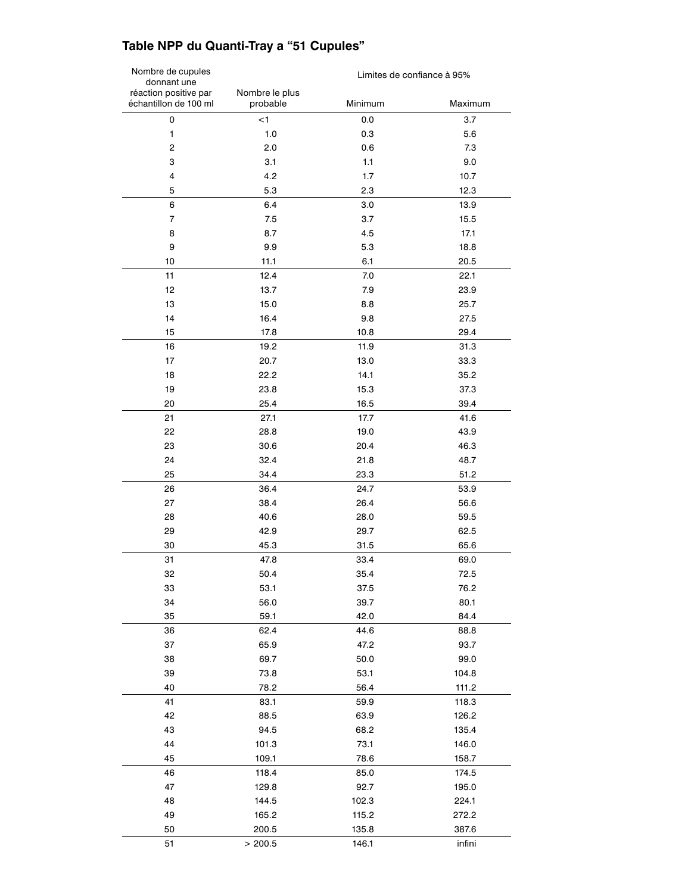### **Table NPP du Quanti-Tray a "51 Cupules"**

| Nombre de cupules<br>donnant une               |                            | Limites de confiance à 95% |                |
|------------------------------------------------|----------------------------|----------------------------|----------------|
| réaction positive par<br>échantillon de 100 ml | Nombre le plus<br>probable | Minimum                    | Maximum        |
| 0                                              | $<$ 1                      | 0.0                        | 3.7            |
| 1                                              | 1.0                        | 0.3                        | 5.6            |
| 2                                              | 2.0                        | 0.6                        | 7.3            |
| 3                                              | 3.1                        | 1.1                        | 9.0            |
| 4                                              | 4.2                        | 1.7                        | 10.7           |
| 5                                              | 5.3                        | 2.3                        | 12.3           |
| 6                                              | 6.4                        | 3.0                        | 13.9           |
| $\overline{7}$                                 | 7.5                        | 3.7                        | 15.5           |
| 8                                              | 8.7                        | 4.5                        | 17.1           |
| 9                                              | 9.9                        | 5.3                        | 18.8           |
| 10                                             | 11.1                       | 6.1                        | 20.5           |
| 11                                             | 12.4                       | 7.0                        | 22.1           |
| 12                                             | 13.7                       | 7.9                        | 23.9           |
| 13                                             | 15.0                       | 8.8                        | 25.7           |
| 14                                             | 16.4                       | 9.8                        | 27.5           |
| 15                                             | 17.8                       | 10.8                       | 29.4           |
| 16                                             | 19.2                       | 11.9                       | 31.3           |
| 17                                             | 20.7                       | 13.0                       | 33.3           |
| 18                                             | 22.2                       | 14.1                       | 35.2           |
| 19                                             | 23.8                       | 15.3                       | 37.3           |
| 20                                             | 25.4                       | 16.5                       | 39.4           |
| 21                                             | 27.1                       | 17.7                       | 41.6           |
| 22                                             | 28.8                       | 19.0                       | 43.9           |
| 23                                             | 30.6                       | 20.4                       | 46.3           |
| 24                                             | 32.4                       | 21.8                       | 48.7           |
| 25                                             | 34.4                       | 23.3                       | 51.2           |
| 26                                             | 36.4                       | 24.7                       | 53.9           |
| 27                                             | 38.4                       | 26.4                       | 56.6           |
| 28                                             | 40.6                       | 28.0                       | 59.5           |
| 29                                             | 42.9                       | 29.7                       | 62.5           |
| 30                                             | 45.3                       | 31.5                       | 65.6           |
| 31                                             | 47.8                       | 33.4                       | 69.0           |
| 32                                             | 50.4                       | 35.4                       | 72.5           |
| 33                                             | 53.1                       | 37.5                       | 76.2           |
| 34                                             | 56.0                       | 39.7                       | 80.1           |
| 35                                             | 59.1                       | 42.0                       | 84.4           |
| 36                                             | 62.4                       | 44.6                       | 88.8           |
| 37                                             | 65.9                       | 47.2                       | 93.7           |
| 38                                             | 69.7                       | 50.0                       | 99.0           |
| 39                                             | 73.8                       | 53.1                       | 104.8          |
| 40                                             | 78.2                       | 56.4                       | 111.2          |
| 41                                             | 83.1                       | 59.9                       | 118.3          |
| 42                                             | 88.5                       | 63.9                       | 126.2          |
| 43                                             | 94.5                       | 68.2                       | 135.4          |
| 44                                             | 101.3                      | 73.1                       | 146.0          |
| 45                                             | 109.1                      | 78.6                       | 158.7          |
| 46                                             | 118.4                      | 85.0                       | 174.5          |
| 47                                             | 129.8                      | 92.7                       | 195.0          |
| 48                                             | 144.5                      | 102.3                      | 224.1          |
| 49                                             |                            |                            |                |
| 50                                             | 165.2<br>200.5             | 115.2<br>135.8             | 272.2<br>387.6 |
|                                                |                            |                            |                |
| 51                                             | > 200.5                    | 146.1                      | infini         |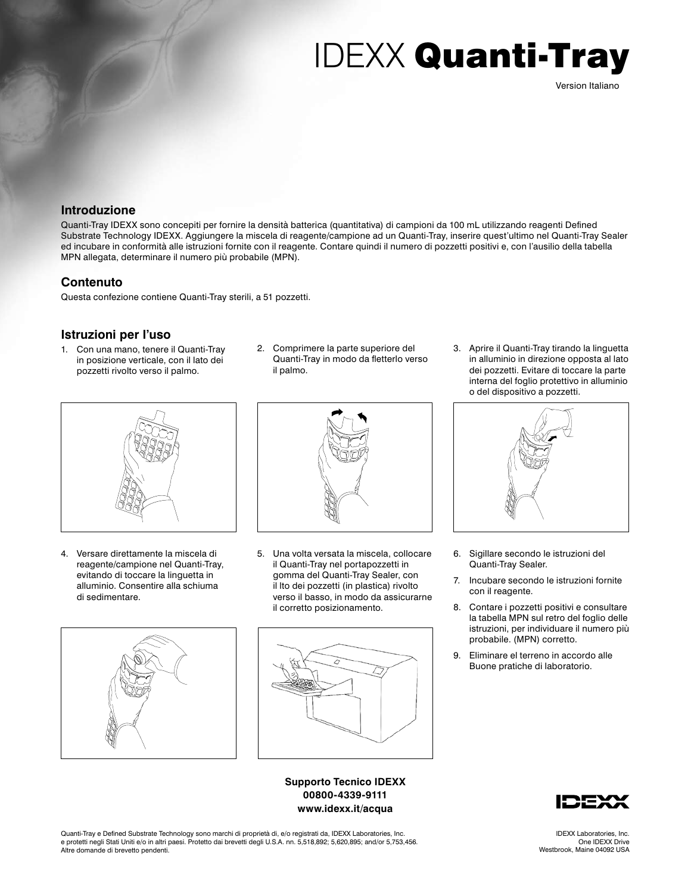### **Introduzione**

Quanti-Tray IDEXX sono concepiti per fornire la densità batterica (quantitativa) di campioni da 100 mL utilizzando reagenti Defined Substrate Technology IDEXX. Aggiungere la miscela di reagente/campione ad un Quanti-Tray, inserire quest'ultimo nel Quanti-Tray Sealer ed incubare in conformità alle istruzioni fornite con il reagente. Contare quindi il numero di pozzetti positivi e, con l'ausilio della tabella MPN allegata, determinare il numero più probabile (MPN).

### **Contenuto**

Questa confezione contiene Quanti-Tray sterili, a 51 pozzetti.

### **Istruzioni per l'uso**

- 1. Con una mano, tenere il Quanti-Tray in posizione verticale, con il lato dei pozzetti rivolto verso il palmo.
- 2. Comprimere la parte superiore del Quanti-Tray in modo da fletterlo verso il palmo.



4. Versare direttamente la miscela di reagente/campione nel Quanti-Tray, evitando di toccare la linguetta in alluminio. Consentire alla schiuma di sedimentare.



5. Una volta versata la miscela, collocare il Quanti-Tray nel portapozzetti in gomma del Quanti-Tray Sealer, con il lto dei pozzetti (in plastica) rivolto verso il basso, in modo da assicurarne il corretto posizionamento.





**Supporto Tecnico IDEXX 00800-4339-9111 www.idexx.it/acqua**

3. Aprire il Quanti-Tray tirando la linguetta in alluminio in direzione opposta al lato dei pozzetti. Evitare di toccare la parte interna del foglio protettivo in alluminio o del dispositivo a pozzetti.



- 6. Sigillare secondo le istruzioni del Quanti-Tray Sealer.
- 7. Incubare secondo le istruzioni fornite con il reagente.
- 8. Contare i pozzetti positivi e consultare la tabella MPN sul retro del foglio delle istruzioni, per individuare il numero più probabile. (MPN) corretto.
- 9. Eliminare el terreno in accordo alle Buone pratiche di laboratorio.



Quanti-Tray e Defined Substrate Technology sono marchi di proprietà di, e/o registrati da, IDEXX Laboratories, Inc. e protetti negli Stati Uniti e/o in altri paesi. Protetto dai brevetti degli U.S.A. nn. 5,518,892; 5,620,895; and/or 5,753,456. Altre domande di brevetto pendenti.

Version Italiano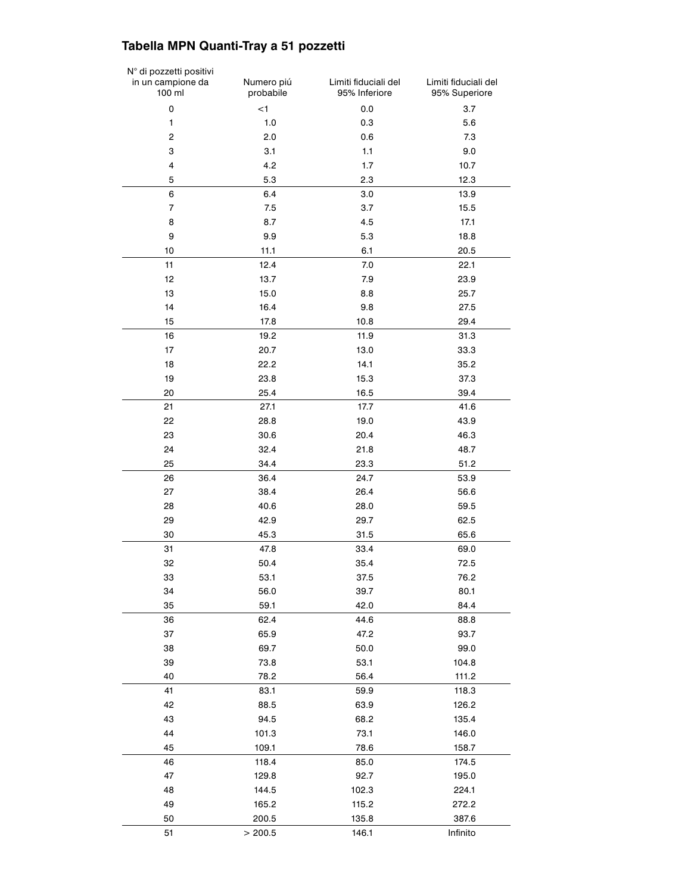### **Tabella MPN Quanti-Tray a 51 pozzetti**

| N° di pozzetti positivi<br>in un campione da<br>100 ml | Numero piú<br>probabile | Limiti fiduciali del<br>95% Inferiore | Limiti fiduciali del<br>95% Superiore |
|--------------------------------------------------------|-------------------------|---------------------------------------|---------------------------------------|
| 0                                                      | $<$ 1                   | 0.0                                   | 3.7                                   |
| 1                                                      | 1.0                     | 0.3                                   | 5.6                                   |
| $\overline{c}$                                         | 2.0                     | 0.6                                   | 7.3                                   |
| 3                                                      | 3.1                     | 1.1                                   | 9.0                                   |
| $\overline{\mathbf{4}}$                                | 4.2                     | 1.7                                   | 10.7                                  |
| 5                                                      | 5.3                     | 2.3                                   | 12.3                                  |
| 6                                                      | 6.4                     | 3.0                                   | 13.9                                  |
| $\overline{7}$                                         | 7.5                     | 3.7                                   | 15.5                                  |
| 8                                                      | 8.7                     | 4.5                                   | 17.1                                  |
| 9                                                      | 9.9                     | 5.3                                   | 18.8                                  |
| 10                                                     | 11.1                    | 6.1                                   | 20.5                                  |
| 11                                                     | 12.4                    | 7.0                                   | 22.1                                  |
| 12                                                     | 13.7                    | 7.9                                   | 23.9                                  |
| 13                                                     | 15.0                    | 8.8                                   | 25.7                                  |
| 14                                                     | 16.4                    | 9.8                                   | 27.5                                  |
| 15                                                     | 17.8                    | 10.8                                  | 29.4                                  |
| 16                                                     | 19.2                    | 11.9                                  | 31.3                                  |
| 17                                                     | 20.7                    | 13.0                                  | 33.3                                  |
| 18                                                     | 22.2                    | 14.1                                  | 35.2                                  |
| 19                                                     | 23.8                    | 15.3                                  | 37.3                                  |
| 20                                                     | 25.4                    | 16.5                                  | 39.4                                  |
| 21                                                     | 27.1                    | 17.7                                  | 41.6                                  |
| 22                                                     | 28.8                    | 19.0                                  | 43.9                                  |
| 23                                                     | 30.6                    | 20.4                                  | 46.3                                  |
| 24                                                     | 32.4                    | 21.8                                  | 48.7                                  |
| 25                                                     | 34.4                    | 23.3                                  | 51.2                                  |
| 26                                                     | 36.4                    | 24.7                                  | 53.9                                  |
| 27                                                     | 38.4                    | 26.4                                  | 56.6                                  |
| 28                                                     | 40.6                    | 28.0                                  | 59.5                                  |
| 29                                                     | 42.9                    | 29.7                                  | 62.5                                  |
| 30                                                     | 45.3                    | 31.5                                  | 65.6                                  |
| 31                                                     | 47.8                    | 33.4                                  | 69.0                                  |
| 32                                                     | 50.4                    | 35.4                                  | 72.5                                  |
| 33                                                     | 53.1                    | 37.5                                  | 76.2                                  |
| 34                                                     | 56.0                    | 39.7                                  | 80.1                                  |
| 35                                                     | 59.1                    | 42.0                                  | 84.4                                  |
| 36                                                     | 62.4                    | 44.6                                  | 88.8                                  |
| 37                                                     | 65.9                    | 47.2                                  | 93.7                                  |
| 38                                                     | 69.7                    | 50.0                                  | 99.0                                  |
| 39                                                     | 73.8                    | 53.1                                  | 104.8                                 |
| 40                                                     | 78.2                    | 56.4                                  | 111.2                                 |
| 41                                                     | 83.1                    | 59.9                                  | 118.3                                 |
| 42                                                     | 88.5                    | 63.9                                  | 126.2                                 |
| 43                                                     | 94.5                    | 68.2                                  | 135.4                                 |
| 44                                                     | 101.3                   | 73.1                                  | 146.0                                 |
| 45                                                     | 109.1                   | 78.6                                  | 158.7                                 |
| 46                                                     | 118.4                   | 85.0                                  | 174.5                                 |
| 47                                                     | 129.8                   | 92.7                                  | 195.0                                 |
| 48                                                     | 144.5                   | 102.3                                 | 224.1                                 |
| 49                                                     | 165.2                   | 115.2                                 | 272.2                                 |
| 50                                                     | 200.5                   | 135.8                                 | 387.6                                 |
| 51                                                     | > 200.5                 | 146.1                                 | Infinito                              |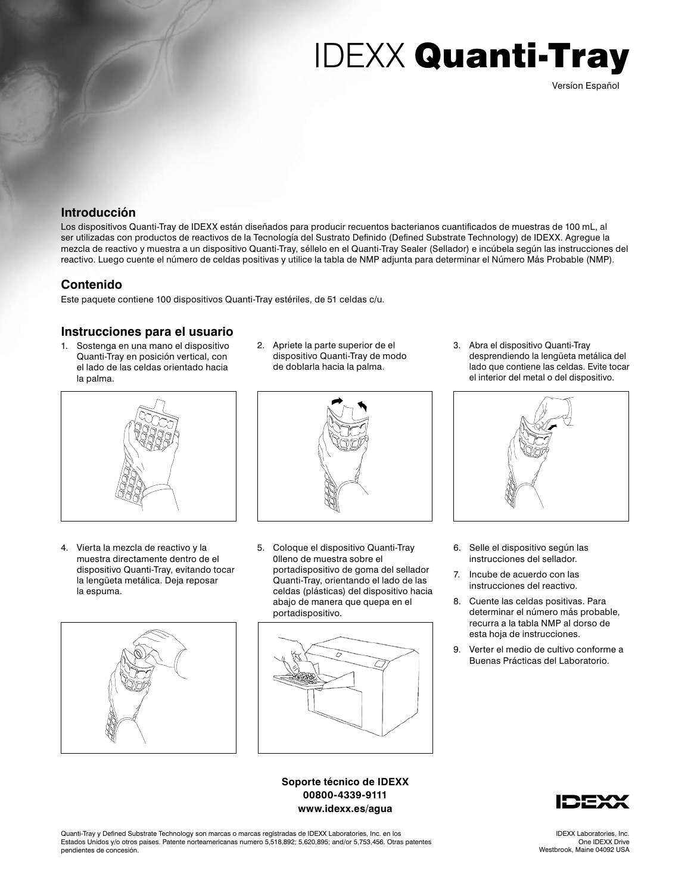### **Introducción**

Los dispositivos Quanti-Tray de IDEXX están diseñados para producir recuentos bacterianos cuantificados de muestras de 100 mL, al ser utilizadas con productos de reactivos de la Tecnología del Sustrato Definido (Defined Substrate Technology) de IDEXX. Agregue la mezcla de reactivo y muestra a un dispositivo Quanti-Tray, séllelo en el Quanti-Tray Sealer (Sellador) e incúbela según las instrucciones del reactivo. Luego cuente el número de celdas positivas y utilice la tabla de NMP adjunta para determinar el Número Más Probable (NMP).

### **Contenido**

Este paquete contiene 100 dispositivos Quanti-Tray estériles, de 51 celdas c/u.

### **Instrucciones para el usuario**

1. Sostenga en una mano el dispositivo Quanti-Tray en posición vertical, con el lado de las celdas orientado hacia la palma.



4. Vierta la mezcla de reactivo y la muestra directamente dentro de el dispositivo Quanti-Tray, evitando tocar la lengüeta metálica. Deja reposar la espuma.



2. Apriete la parte superior de el dispositivo Quanti-Tray de modo de doblarla hacia la palma.



5. Coloque el dispositivo Quanti-Tray 0lleno de muestra sobre el portadispositivo de goma del sellador Quanti-Tray, orientando el lado de las celdas (plásticas) del dispositivo hacia abajo de manera que quepa en el portadispositivo.



**Soporte técnico de IDEXX 00800-4339-9111 www.idexx.es/agua**

3. Abra el dispositivo Quanti-Tray desprendiendo la lengüeta metálica del lado que contiene las celdas. Evite tocar el interior del metal o del dispositivo.



- 6. Selle el dispositivo según las instrucciones del sellador.
- 7. Incube de acuerdo con las instrucciones del reactivo.
- 8. Cuente las celdas positivas. Para determinar el número más probable, recurra a la tabla NMP al dorso de esta hoja de instrucciones.
- 9. Verter el medio de cultivo conforme a Buenas Prácticas del Laboratorio.



Quanti-Tray y Defined Substrate Technology son marcas o marcas registradas de IDEXX Laboratories, Inc. en los Estados Unidos y/o otros paises. Patente norteamericanas numero 5,518,892; 5,620,895; and/or 5,753,456. Otras patentes pendientes de concesión.

IDEXX Laboratories, Inc. One IDEXX Drive Westbrook, Maine 04092 USA

Versíon Español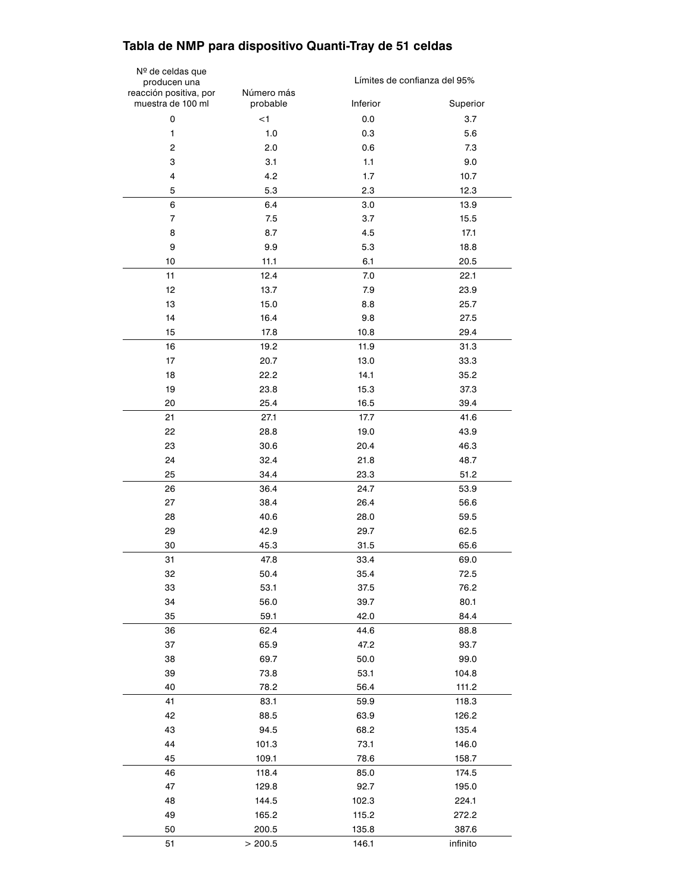### **Tabla de NMP para dispositivo Quanti-Tray de 51 celdas**

| Nº de celdas que<br>producen una | Límites de confianza del 95% |          |          |
|----------------------------------|------------------------------|----------|----------|
| reacción positiva, por           | Número más                   |          |          |
| muestra de 100 ml                | probable                     | Inferior | Superior |
| 0                                | $<$ 1                        | 0.0      | 3.7      |
| $\mathbf{1}$                     | 1.0                          | 0.3      | 5.6      |
| $\mathbf 2$                      | 2.0                          | 0.6      | 7.3      |
| 3                                | 3.1                          | $1.1$    | 9.0      |
| 4                                | 4.2                          | 1.7      | 10.7     |
| 5                                | 5.3                          | 2.3      | 12.3     |
| 6                                | 6.4                          | 3.0      | 13.9     |
| $\overline{7}$                   | 7.5                          | 3.7      | 15.5     |
| 8                                | 8.7                          | 4.5      | 17.1     |
| 9                                | 9.9                          | 5.3      | 18.8     |
| 10                               | 11.1                         | 6.1      | 20.5     |
| 11                               | 12.4                         | 7.0      | 22.1     |
| 12                               | 13.7                         | 7.9      | 23.9     |
| 13                               | 15.0                         | 8.8      | 25.7     |
| 14                               | 16.4                         | 9.8      | 27.5     |
| 15                               | 17.8                         | 10.8     | 29.4     |
| 16                               | 19.2                         | 11.9     | 31.3     |
| 17                               | 20.7                         | 13.0     | 33.3     |
| 18                               | 22.2                         | 14.1     | 35.2     |
| 19                               | 23.8                         | 15.3     | 37.3     |
| 20                               | 25.4                         | 16.5     | 39.4     |
| 21                               | 27.1                         | 17.7     | 41.6     |
| 22                               | 28.8                         | 19.0     | 43.9     |
| 23                               | 30.6                         | 20.4     | 46.3     |
| 24                               | 32.4                         | 21.8     | 48.7     |
| 25                               | 34.4                         | 23.3     | 51.2     |
| 26                               | 36.4                         | 24.7     | 53.9     |
| 27                               | 38.4                         | 26.4     | 56.6     |
| 28                               | 40.6                         | 28.0     | 59.5     |
| 29                               | 42.9                         | 29.7     | 62.5     |
| 30                               | 45.3                         | 31.5     | 65.6     |
| 31                               | 47.8                         | 33.4     | 69.0     |
| 32                               | 50.4                         | 35.4     | 72.5     |
| 33                               | 53.1                         | 37.5     | 76.2     |
| 34                               | 56.0                         | 39.7     | 80.1     |
| 35                               | 59.1                         | 42.0     | 84.4     |
| 36                               | 62.4                         | 44.6     | 88.8     |
| 37                               | 65.9                         | 47.2     | 93.7     |
| 38                               | 69.7                         | 50.0     | 99.0     |
| 39                               | 73.8                         | 53.1     | 104.8    |
| 40                               | 78.2                         | 56.4     | 111.2    |
| 41                               | 83.1                         | 59.9     | 118.3    |
| 42                               | 88.5                         | 63.9     | 126.2    |
| 43                               | 94.5                         | 68.2     | 135.4    |
| 44                               | 101.3                        | 73.1     | 146.0    |
| 45                               | 109.1                        | 78.6     | 158.7    |
| 46                               | 118.4                        | 85.0     | 174.5    |
| 47                               | 129.8                        | 92.7     | 195.0    |
| 48                               | 144.5                        | 102.3    | 224.1    |
| 49                               | 165.2                        | 115.2    | 272.2    |
| 50                               | 200.5                        | 135.8    | 387.6    |
| 51                               | > 200.5                      | 146.1    | infinito |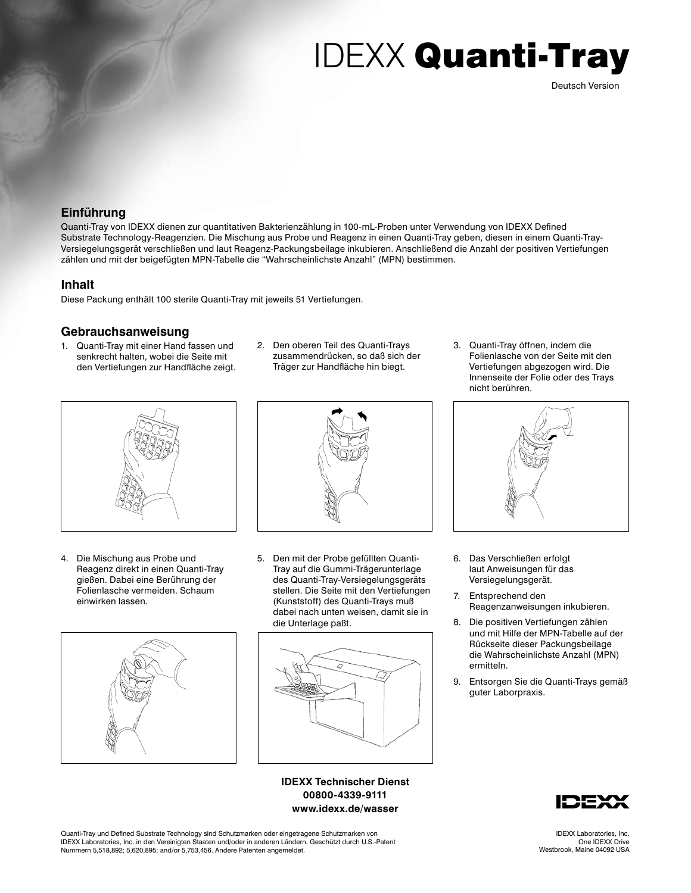Deutsch Version

### **Einführung**

Quanti-Tray von IDEXX dienen zur quantitativen Bakterienzählung in 100-mL-Proben unter Verwendung von IDEXX Defined Substrate Technology-Reagenzien. Die Mischung aus Probe und Reagenz in einen Quanti-Tray geben, diesen in einem Quanti-Tray-Versiegelungsgerät verschließen und laut Reagenz-Packungsbeilage inkubieren. Anschließend die Anzahl der positiven Vertiefungen zählen und mit der beigefügten MPN-Tabelle die "Wahrscheinlichste Anzahl" (MPN) bestimmen.

### **Inhalt**

Diese Packung enthält 100 sterile Quanti-Tray mit jeweils 51 Vertiefungen.

### **Gebrauchsanweisung**

- 1. Quanti-Tray mit einer Hand fassen und senkrecht halten, wobei die Seite mit den Vertiefungen zur Handfläche zeigt.
- 2. Den oberen Teil des Quanti-Trays zusammendrücken, so daß sich der Träger zur Handfläche hin biegt.



4. Die Mischung aus Probe und Reagenz direkt in einen Quanti-Tray gießen. Dabei eine Berührung der Folienlasche vermeiden. Schaum einwirken lassen.





5. Den mit der Probe gefüllten Quanti-Tray auf die Gummi-Trägerunterlage des Quanti-Tray-Versiegelungsgeräts stellen. Die Seite mit den Vertiefungen (Kunststoff) des Quanti-Trays muß dabei nach unten weisen, damit sie in die Unterlage paßt.



**IDEXX Technischer Dienst 00800-4339-9111 www.idexx.de/wasser**

3. Quanti-Tray öffnen, indem die Folienlasche von der Seite mit den Vertiefungen abgezogen wird. Die Innenseite der Folie oder des Trays nicht berühren.



- 6. Das Verschließen erfolgt laut Anweisungen für das Versiegelungsgerät.
- 7. Entsprechend den Reagenzanweisungen inkubieren.
- 8. Die positiven Vertiefungen zählen und mit Hilfe der MPN-Tabelle auf der Rückseite dieser Packungsbeilage die Wahrscheinlichste Anzahl (MPN) ermitteln.
- 9. Entsorgen Sie die Quanti-Trays gemäß guter Laborpraxis.



Quanti-Tray und Defined Substrate Technology sind Schutzmarken oder eingetragene Schutzmarken von IDEXX Laboratories, Inc. in den Vereinigten Staaten und/oder in anderen Ländern. Geschützt durch U.S.-Patent Nummern 5,518,892; 5,620,895; and/or 5,753,456. Andere Patenten angemeldet.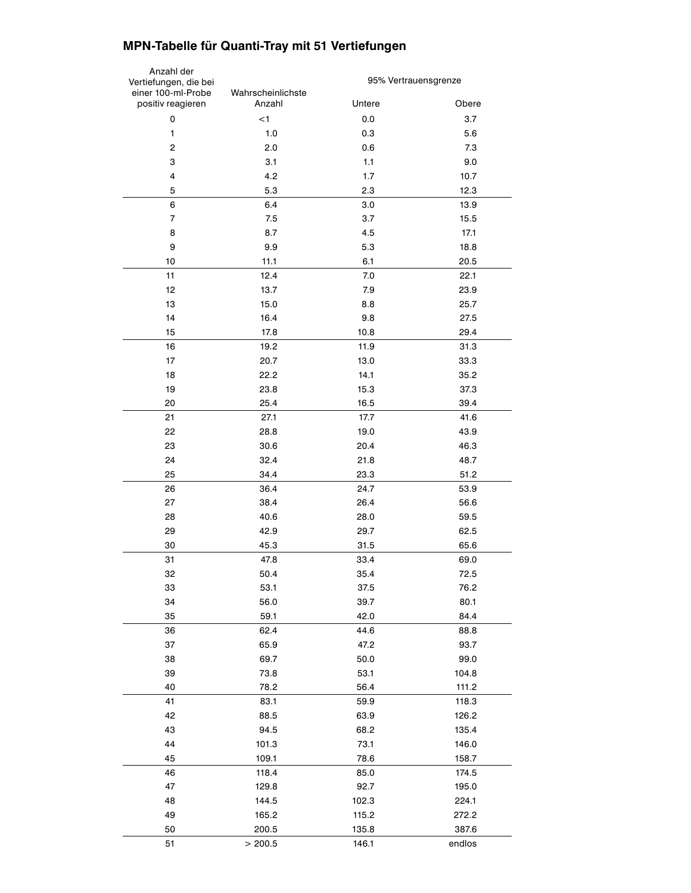### **MPN-Tabelle für Quanti-Tray mit 51 Vertiefungen**

| Anzahl der<br>Vertiefungen, die bei<br>einer 100-ml-Probe | Wahrscheinlichste | 95% Vertrauensgrenze |        |
|-----------------------------------------------------------|-------------------|----------------------|--------|
| positiv reagieren                                         | Anzahl            | Untere               | Obere  |
| 0                                                         | $<$ 1             | 0.0                  | 3.7    |
| 1                                                         | 1.0               | 0.3                  | 5.6    |
| $\overline{c}$                                            | 2.0               | 0.6                  | 7.3    |
| 3                                                         | 3.1               | $1.1$                | 9.0    |
| 4                                                         | 4.2               | 1.7                  | 10.7   |
| 5                                                         | 5.3               | 2.3                  | 12.3   |
| 6                                                         | 6.4               | 3.0                  | 13.9   |
| $\overline{7}$                                            | 7.5               | 3.7                  | 15.5   |
| 8                                                         | 8.7               | 4.5                  | 17.1   |
| 9                                                         | 9.9               | 5.3                  | 18.8   |
| 10                                                        | 11.1              | 6.1                  | 20.5   |
| 11                                                        | 12.4              | 7.0                  | 22.1   |
| 12                                                        | 13.7              | 7.9                  | 23.9   |
| 13                                                        | 15.0              | 8.8                  | 25.7   |
| 14                                                        | 16.4              | 9.8                  | 27.5   |
| 15                                                        | 17.8              | 10.8                 | 29.4   |
| 16                                                        | 19.2              | 11.9                 | 31.3   |
| 17                                                        | 20.7              | 13.0                 | 33.3   |
| 18                                                        | 22.2              | 14.1                 | 35.2   |
| 19                                                        | 23.8              | 15.3                 | 37.3   |
| 20                                                        | 25.4              | 16.5                 | 39.4   |
| 21                                                        | 27.1              | 17.7                 | 41.6   |
| 22                                                        | 28.8              | 19.0                 | 43.9   |
| 23                                                        | 30.6              | 20.4                 | 46.3   |
| 24                                                        | 32.4              | 21.8                 | 48.7   |
| 25                                                        | 34.4              | 23.3                 | 51.2   |
| 26                                                        | 36.4              | 24.7                 | 53.9   |
| 27                                                        | 38.4              | 26.4                 | 56.6   |
| 28                                                        | 40.6              | 28.0                 | 59.5   |
| 29                                                        | 42.9              | 29.7                 | 62.5   |
| 30                                                        | 45.3              | 31.5                 | 65.6   |
| 31                                                        | 47.8              | 33.4                 | 69.0   |
| 32                                                        | 50.4              | 35.4                 | 72.5   |
| 33                                                        | 53.1              | 37.5                 | 76.2   |
| 34                                                        | 56.0              | 39.7                 | 80.1   |
| 35                                                        | 59.1              | 42.0                 | 84.4   |
| 36                                                        | 62.4              | 44.6                 | 88.8   |
| 37                                                        | 65.9              | 47.2                 | 93.7   |
| 38                                                        | 69.7              | 50.0                 | 99.0   |
| 39                                                        | 73.8              | 53.1                 | 104.8  |
| 40                                                        | 78.2              | 56.4                 | 111.2  |
| 41                                                        | 83.1              | 59.9                 | 118.3  |
| 42                                                        | 88.5              | 63.9                 | 126.2  |
| 43                                                        | 94.5              | 68.2                 | 135.4  |
| 44                                                        | 101.3             | 73.1                 | 146.0  |
| 45                                                        | 109.1             | 78.6                 | 158.7  |
| 46                                                        | 118.4             | 85.0                 | 174.5  |
| 47                                                        | 129.8             | 92.7                 | 195.0  |
| 48                                                        | 144.5             | 102.3                | 224.1  |
| 49                                                        | 165.2             | 115.2                | 272.2  |
| 50                                                        | 200.5             | 135.8                | 387.6  |
| 51                                                        | > 200.5           | 146.1                | endlos |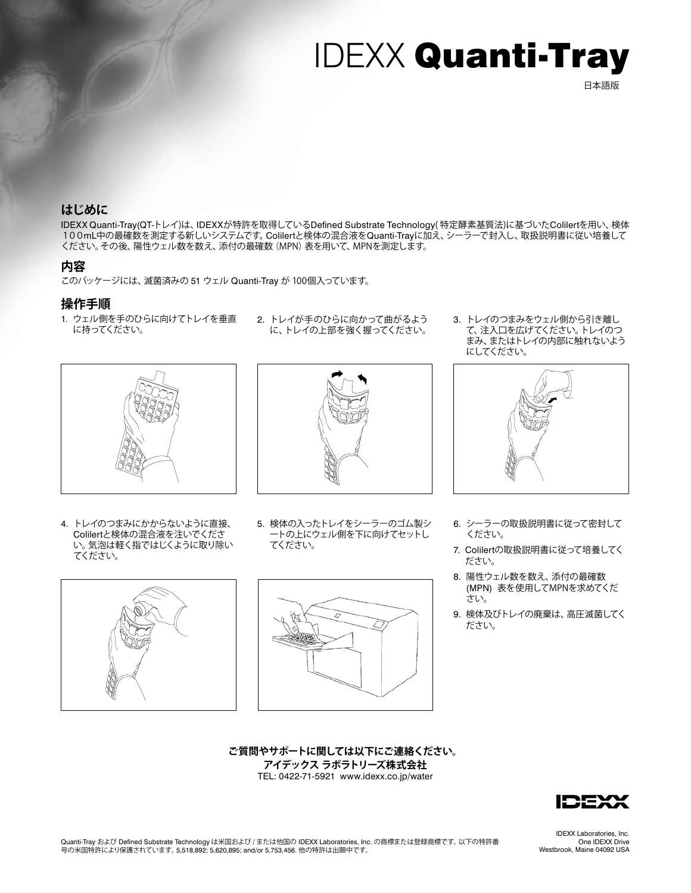#### 日本語版

### **はじめに**

IDEXX Quanti-Tray(QT-トレイ)は、IDEXXが特許を取得しているDefined Substrate Technology( 特定酵素基質法)に基づいたColilertを用い、検体 100mL中の最確数を測定する新しいシステムです。Colilertと検体の混合液をQuanti-Trayに加え、シーラーで封入し、取扱説明書に従い培養して ください。その後、陽性ウェル数を数え、添付の最確数(MPN)表を用いて、MPNを測定します。

### **内容**

このパッケージには、滅菌済みの 51 ウェル Quanti-Tray が 100個入っています。

### **操作手順**

1. ウェル側を手のひらに向けてトレイを垂直 に持ってください。



2. トレイが手のひらに向かって曲がるよう に、トレイの上部を強く握ってください。

3. トレイのつまみをウェル側から引き離し て、注入口を広げてください。トレイのつ まみ、またはトレイの内部に触れないよう にしてください。



4. トレイのつまみにかからないように直接、 Colilertと検体の混合液を注いでくださ い。気泡は軽く指ではじくように取り除い てください。



5. 検体の入ったトレイをシーラーのゴム製シ ートの上にウェル側を下に向けてセットし てください。



- 6. シーラーの取扱説明書に従って密封して ください。
- 7. Colilertの取扱説明書に従って培養してく ださい。
- 8. 陽性ウェル数を数え、添付の最確数 (MPN) 表を使用してMPNを求めてくだ さい。
- 9. 検体及びトレイの廃棄は、高圧滅菌してく ださい。

**ご質問やサポートに関しては以下にご連絡ください。 アイデックス ラボラトリーズ株式会社** TEL: 0422-71-5921 www.idexx.co.jp/water



Quanti-Tray および Defined Substrate Technology は米国および / または他国の IDEXX Laboratories, Inc. の商標または登録商標です。 以下の特許番<br>号の米国特許により保護されています。 5,518,892; 5,620,895; and/or 5,753,456. 他の特許は出願中です。

IDEXX Laboratories, Inc. One IDEXX Drive Westbrook, Maine 04092 USA